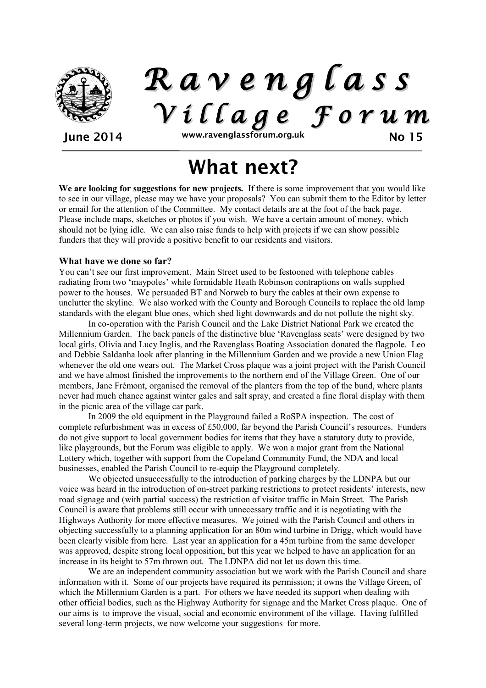

*R a v e n g l a s s V i l l a g e F o r u m*

June 2014 www.ravenglassforum.org.uk No 15

# What next?

**We are looking for suggestions for new projects.** If there is some improvement that you would like to see in our village, please may we have your proposals? You can submit them to the Editor by letter or email for the attention of the Committee. My contact details are at the foot of the back page. Please include maps, sketches or photos if you wish. We have a certain amount of money, which should not be lying idle. We can also raise funds to help with projects if we can show possible funders that they will provide a positive benefit to our residents and visitors.

## **What have we done so far?**

You can't see our first improvement. Main Street used to be festooned with telephone cables radiating from two 'maypoles' while formidable Heath Robinson contraptions on walls supplied power to the houses. We persuaded BT and Norweb to bury the cables at their own expense to unclutter the skyline. We also worked with the County and Borough Councils to replace the old lamp standards with the elegant blue ones, which shed light downwards and do not pollute the night sky.

In co-operation with the Parish Council and the Lake District National Park we created the Millennium Garden. The back panels of the distinctive blue 'Ravenglass seats' were designed by two local girls, Olivia and Lucy Inglis, and the Ravenglass Boating Association donated the flagpole. Leo and Debbie Saldanha look after planting in the Millennium Garden and we provide a new Union Flag whenever the old one wears out. The Market Cross plaque was a joint project with the Parish Council and we have almost finished the improvements to the northern end of the Village Green. One of our members, Jane Frémont, organised the removal of the planters from the top of the bund, where plants never had much chance against winter gales and salt spray, and created a fine floral display with them in the picnic area of the village car park.

In 2009 the old equipment in the Playground failed a RoSPA inspection. The cost of complete refurbishment was in excess of £50,000, far beyond the Parish Council's resources. Funders do not give support to local government bodies for items that they have a statutory duty to provide, like playgrounds, but the Forum was eligible to apply. We won a major grant from the National Lottery which, together with support from the Copeland Community Fund, the NDA and local businesses, enabled the Parish Council to re-equip the Playground completely.

We objected unsuccessfully to the introduction of parking charges by the LDNPA but our voice was heard in the introduction of on-street parking restrictions to protect residents' interests, new road signage and (with partial success) the restriction of visitor traffic in Main Street. The Parish Council is aware that problems still occur with unnecessary traffic and it is negotiating with the Highways Authority for more effective measures. We joined with the Parish Council and others in objecting successfully to a planning application for an 80m wind turbine in Drigg, which would have been clearly visible from here. Last year an application for a 45m turbine from the same developer was approved, despite strong local opposition, but this year we helped to have an application for an increase in its height to 57m thrown out. The LDNPA did not let us down this time.

We are an independent community association but we work with the Parish Council and share information with it. Some of our projects have required its permission; it owns the Village Green, of which the Millennium Garden is a part. For others we have needed its support when dealing with other official bodies, such as the Highway Authority for signage and the Market Cross plaque. One of our aims is to improve the visual, social and economic environment of the village. Having fulfilled several long-term projects, we now welcome your suggestions for more.